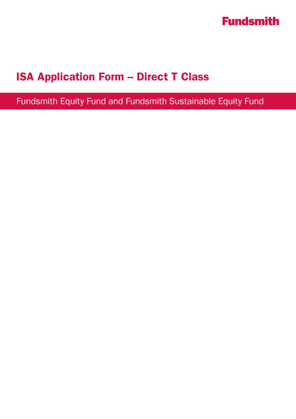

## ISA Application Form – Direct T Class

Fundsmith Equity Fund and Fundsmith Sustainable Equity Fund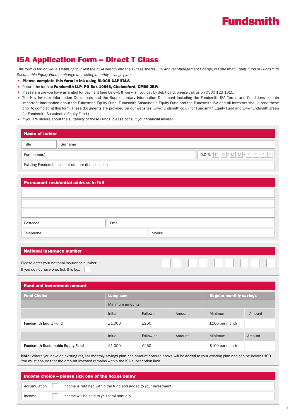## **Fundsmith**

### ISA Application Form – Direct T Class

*This form is for individuals wanting to invest their ISA directly into the T Class shares (1% Annual Management Charge) in Fundsmith Equity Fund or Fundsmith Sustainable Equity Fund or change an existing monthly savings plan.* 

- Please complete this form in ink using BLOCK CAPITALS.
- Return the form to Fundsmith LLP, PO Box 10846, Chelmsford, CM99 2BW.
- Please ensure you have arranged for payment (see below). If you wish you pay by debit card, please call us on 0330 123 1815.
- The Key Investor Information Documents and the Supplementary Information Document including the Fundsmith ISA Terms and Conditions contain important information about the Fundsmith Equity Fund, Fundsmith Sustainable Equity Fund and the Fundsmith ISA and all investors should read these prior to completing this form. These documents are provided via our websites (www.fundsmith.co.uk for Fundsmith Equity Fund and www.fundsmith.green for Fundsmith Sustainable Equity Fund.)
- If you are unsure about the suitability of these Funds, please consult your financial adviser.

| <b>Name of holder</b>                 |                                                   |                 |           |                                |                                                                                                                                                                                                           |        |
|---------------------------------------|---------------------------------------------------|-----------------|-----------|--------------------------------|-----------------------------------------------------------------------------------------------------------------------------------------------------------------------------------------------------------|--------|
| Title                                 | Surname                                           |                 |           |                                |                                                                                                                                                                                                           |        |
| Forename(s)                           |                                                   |                 |           |                                | $\textbf{D.O.B.} \quad \boxed{\text{D}} \quad \boxed{\text{D}} \quad \boxed{\text{M}} \quad \boxed{\text{M}} \quad \boxed{\text{Y}} \quad \boxed{\text{Y}} \quad \boxed{\text{Y}} \quad \boxed{\text{Y}}$ |        |
|                                       | Existing Fundsmith account number (if applicable) |                 |           |                                |                                                                                                                                                                                                           |        |
|                                       |                                                   |                 |           |                                |                                                                                                                                                                                                           |        |
|                                       | <b>Permanent residential address in full</b>      |                 |           |                                |                                                                                                                                                                                                           |        |
|                                       |                                                   |                 |           |                                |                                                                                                                                                                                                           |        |
|                                       |                                                   |                 |           |                                |                                                                                                                                                                                                           |        |
| Postcode                              |                                                   | Email           |           |                                |                                                                                                                                                                                                           |        |
| Telephone                             |                                                   | Mobile          |           |                                |                                                                                                                                                                                                           |        |
|                                       |                                                   |                 |           |                                |                                                                                                                                                                                                           |        |
| <b>National insurance number</b>      |                                                   |                 |           |                                |                                                                                                                                                                                                           |        |
|                                       | Please enter your national insurance number       |                 |           |                                |                                                                                                                                                                                                           |        |
| If you do not have one, tick this box |                                                   |                 |           |                                |                                                                                                                                                                                                           |        |
|                                       | <b>Fund and Investment amount</b>                 |                 |           |                                |                                                                                                                                                                                                           |        |
| <b>Fund Choice</b>                    |                                                   | <b>Lump sum</b> |           | <b>Regular monthly savings</b> |                                                                                                                                                                                                           |        |
|                                       |                                                   | Minimum amounts |           |                                |                                                                                                                                                                                                           |        |
|                                       |                                                   | Initial         | Follow on | Amount                         | Minimum                                                                                                                                                                                                   | Amount |
| <b>Fundsmith Equity Fund</b>          |                                                   | £1,000          | £250      |                                | £100 per month                                                                                                                                                                                            |        |
|                                       |                                                   | Initial         | Follow on | Amount                         | Minimum                                                                                                                                                                                                   | Amount |
|                                       |                                                   |                 |           |                                |                                                                                                                                                                                                           |        |

Note: Where you have an existing regular monthly savings plan, the amount entered above will be added to your existing plan and can be below £100. You must ensure that the amount invested remains within the ISA subscription limit.

|              | Income choice – please tick one of the boxes below               |
|--------------|------------------------------------------------------------------|
| Accumulation | Income is retained within the fund and added to your investment. |
| Income       | Income will be paid to you semi-annually.                        |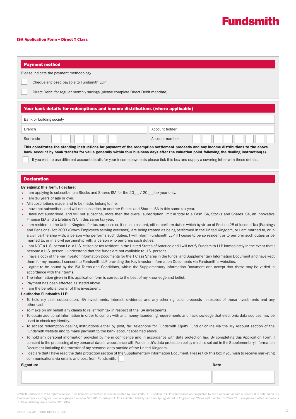

### ISA Application Form – Direct T Class

| <b>Payment method</b>                                                                                                                                                                                                                                                                                                                                                                                                                                                                                                                                                                                              |                |      |
|--------------------------------------------------------------------------------------------------------------------------------------------------------------------------------------------------------------------------------------------------------------------------------------------------------------------------------------------------------------------------------------------------------------------------------------------------------------------------------------------------------------------------------------------------------------------------------------------------------------------|----------------|------|
| Please indicate the payment methodology                                                                                                                                                                                                                                                                                                                                                                                                                                                                                                                                                                            |                |      |
| Cheque enclosed payable to Fundsmith LLP                                                                                                                                                                                                                                                                                                                                                                                                                                                                                                                                                                           |                |      |
|                                                                                                                                                                                                                                                                                                                                                                                                                                                                                                                                                                                                                    |                |      |
| Direct Debit, for regular monthly savings (please complete Direct Debit mandate)                                                                                                                                                                                                                                                                                                                                                                                                                                                                                                                                   |                |      |
| Your bank details for redemptions and income distributions (where applicable)                                                                                                                                                                                                                                                                                                                                                                                                                                                                                                                                      |                |      |
| Bank or building society                                                                                                                                                                                                                                                                                                                                                                                                                                                                                                                                                                                           |                |      |
| <b>Branch</b>                                                                                                                                                                                                                                                                                                                                                                                                                                                                                                                                                                                                      | Account holder |      |
| Sort code                                                                                                                                                                                                                                                                                                                                                                                                                                                                                                                                                                                                          | Account number |      |
| This constitutes the standing instructions for payment of the redemption settlement proceeds and any income distributions to the above<br>bank account by bank transfer for value generally within four business days after the valuation point following the dealing instruction(s).                                                                                                                                                                                                                                                                                                                              |                |      |
| If you wish to use different account details for your income payments please tick this box and supply a covering letter with these details.                                                                                                                                                                                                                                                                                                                                                                                                                                                                        |                |      |
|                                                                                                                                                                                                                                                                                                                                                                                                                                                                                                                                                                                                                    |                |      |
| <b>Declaration</b>                                                                                                                                                                                                                                                                                                                                                                                                                                                                                                                                                                                                 |                |      |
| By signing this form, I declare:                                                                                                                                                                                                                                                                                                                                                                                                                                                                                                                                                                                   |                |      |
| I am applying to subscribe to a Stocks and Shares ISA for the 20_ / 20 _ tax year only.<br>I am 18 years of age or over.                                                                                                                                                                                                                                                                                                                                                                                                                                                                                           |                |      |
| All subscriptions made, and to be made, belong to me.                                                                                                                                                                                                                                                                                                                                                                                                                                                                                                                                                              |                |      |
| I have not subscribed, and will not subscribe, to another Stocks and Shares ISA in this same tax year.                                                                                                                                                                                                                                                                                                                                                                                                                                                                                                             |                |      |
| I have not subscribed, and will not subscribe, more then the overall subscription limit in total to a Cash ISA, Stocks and Shares ISA, an Innovative<br>$\bullet$                                                                                                                                                                                                                                                                                                                                                                                                                                                  |                |      |
| Finance ISA and a Lifetime ISA in this same tax year.<br>• I am resident in the United Kingdom for tax purposes or, if not so resident, either perform duties which by virtue of Section 28 of Income Tax (Earnings<br>and Pensions) Act 2003 (Crown Employees serving overseas), are being treated as being performed in the United Kingdom, or I am married to, or in<br>a civil partnership with, a person who performs such duties. I will inform Fundsmith LLP if I cease to be so resident or to perform such duties or be<br>married to, or in a civil partnership with, a person who performs such duties. |                |      |
| I am NOT a U.S. person i.e. a U.S. citizen or tax resident in the United States of America and I will notify Fundsmith LLP immediately in the event that I<br>become a U.S. person. I understand that the funds are not available to U.S. persons.                                                                                                                                                                                                                                                                                                                                                                 |                |      |
| • I have a copy of the Key Investor Information Documents for the T Class Shares in the funds and Supplementary Information Document and have kept<br>them for my records. I consent to Fundsmith LLP providing the Key Investor Information Documents via Fundsmith's websites.                                                                                                                                                                                                                                                                                                                                   |                |      |
| • I agree to be bound by the ISA Terms and Conditions, within the Supplementary Information Document and accept that these may be varied in                                                                                                                                                                                                                                                                                                                                                                                                                                                                        |                |      |
| accordance with their terms.<br>• The information given in this application form is correct to the best of my knowledge and belief.                                                                                                                                                                                                                                                                                                                                                                                                                                                                                |                |      |
| Payment has been effected as stated above.                                                                                                                                                                                                                                                                                                                                                                                                                                                                                                                                                                         |                |      |
| I am the beneficial owner of this investment.                                                                                                                                                                                                                                                                                                                                                                                                                                                                                                                                                                      |                |      |
| I authorise Fundsmith LLP:<br>• To hold my cash subscription, ISA investments, interest, dividends and any other rights or proceeds in respect of those investments and any                                                                                                                                                                                                                                                                                                                                                                                                                                        |                |      |
| other cash.                                                                                                                                                                                                                                                                                                                                                                                                                                                                                                                                                                                                        |                |      |
| To make on my behalf any claims to relief from tax in respect of the ISA investments.                                                                                                                                                                                                                                                                                                                                                                                                                                                                                                                              |                |      |
| To obtain additional information in order to comply with anti-money laundering requirements and I acknowledge that electronic data sources may be<br>used to check my identity.                                                                                                                                                                                                                                                                                                                                                                                                                                    |                |      |
| · To accept redemption dealing instructions either by post, fax, telephone for Fundsmith Equity Fund or online via the My Account section of the<br>Fundsmith website and to make payment to the bank account specified above.                                                                                                                                                                                                                                                                                                                                                                                     |                |      |
| . To hold any personal information provided by me in confidence and in accordance with data protection law. By completing this Application Form, I<br>consent to the processing of my personal data in accordance with Fundsmith's data protection policy which is set out in the Supplementary Information                                                                                                                                                                                                                                                                                                        |                |      |
| Document including the transfer of my personal data outside of the United Kingdom.<br>• I declare that I have read the data protection section of the Supplementary Information Document. Please tick this box if you wish to receive marketing<br>communications via emails and post from Fundsmith.                                                                                                                                                                                                                                                                                                              |                |      |
| <b>Signature</b>                                                                                                                                                                                                                                                                                                                                                                                                                                                                                                                                                                                                   |                | Date |
|                                                                                                                                                                                                                                                                                                                                                                                                                                                                                                                                                                                                                    |                |      |
|                                                                                                                                                                                                                                                                                                                                                                                                                                                                                                                                                                                                                    |                |      |
|                                                                                                                                                                                                                                                                                                                                                                                                                                                                                                                                                                                                                    |                |      |

©2021Fundsmith LLP. All rights reserved. This financial promotion is communicated by Fundsmith LLP. Fundsmith LLP is authorised and regulated by the Financial Conduct Authority. It is entered on the Financial Services Register under registered number 523102. Fundsmith LLP is a limited liability partnership registered in England and Wales with number OC354233. Its registered office address is 33 Cavendish Square, London, W1G 0PW.